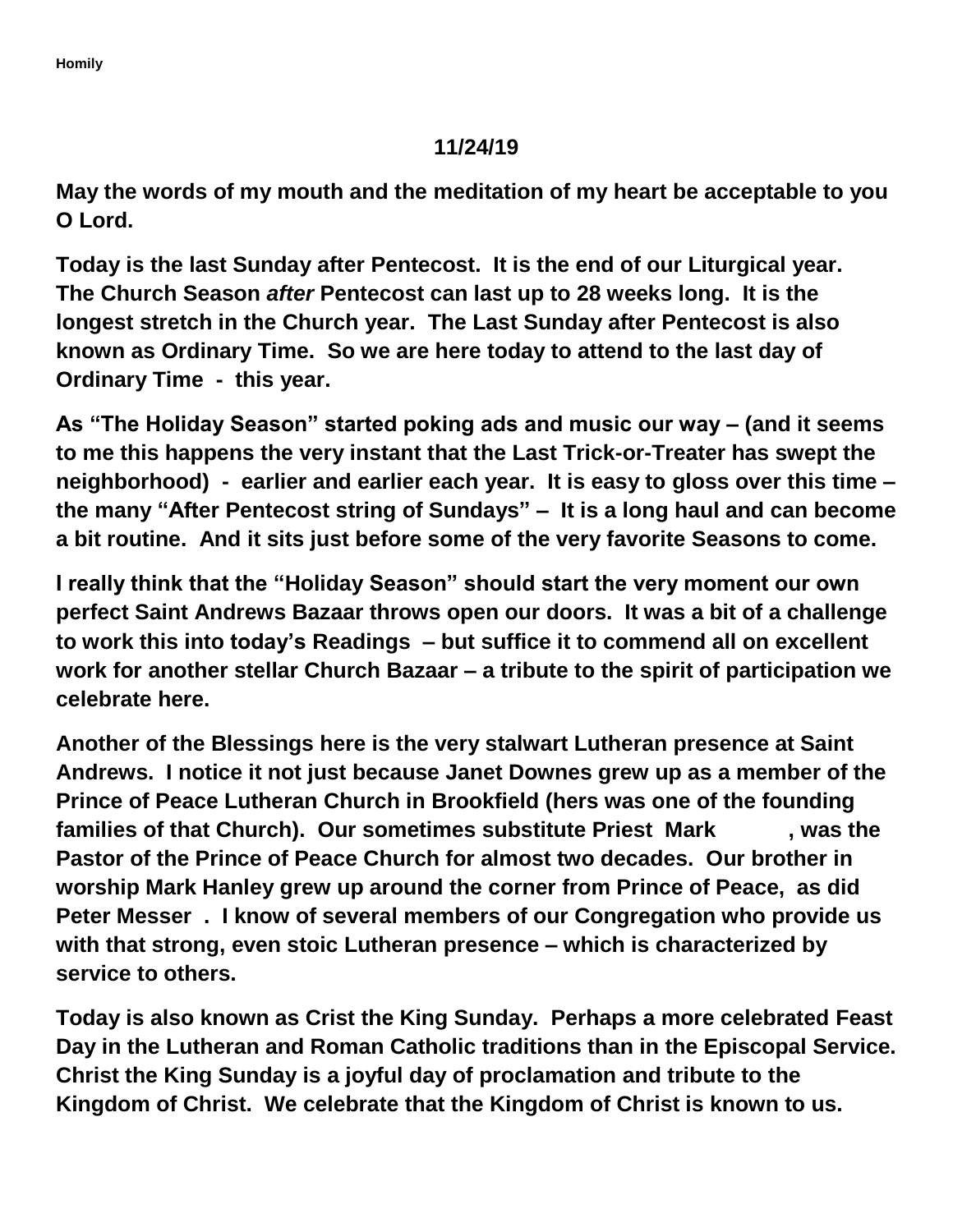## **11/24/19**

**May the words of my mouth and the meditation of my heart be acceptable to you O Lord.**

**Today is the last Sunday after Pentecost. It is the end of our Liturgical year. The Church Season** *after* **Pentecost can last up to 28 weeks long. It is the longest stretch in the Church year. The Last Sunday after Pentecost is also known as Ordinary Time. So we are here today to attend to the last day of Ordinary Time - this year.** 

**As "The Holiday Season" started poking ads and music our way – (and it seems to me this happens the very instant that the Last Trick-or-Treater has swept the neighborhood) - earlier and earlier each year. It is easy to gloss over this time – the many "After Pentecost string of Sundays" – It is a long haul and can become a bit routine. And it sits just before some of the very favorite Seasons to come.**

**I really think that the "Holiday Season" should start the very moment our own perfect Saint Andrews Bazaar throws open our doors. It was a bit of a challenge to work this into today's Readings – but suffice it to commend all on excellent work for another stellar Church Bazaar – a tribute to the spirit of participation we celebrate here.**

**Another of the Blessings here is the very stalwart Lutheran presence at Saint Andrews. I notice it not just because Janet Downes grew up as a member of the Prince of Peace Lutheran Church in Brookfield (hers was one of the founding families of that Church). Our sometimes substitute Priest Mark , was the Pastor of the Prince of Peace Church for almost two decades. Our brother in worship Mark Hanley grew up around the corner from Prince of Peace, as did Peter Messer . I know of several members of our Congregation who provide us with that strong, even stoic Lutheran presence – which is characterized by service to others.**

**Today is also known as Crist the King Sunday. Perhaps a more celebrated Feast Day in the Lutheran and Roman Catholic traditions than in the Episcopal Service. Christ the King Sunday is a joyful day of proclamation and tribute to the Kingdom of Christ. We celebrate that the Kingdom of Christ is known to us.**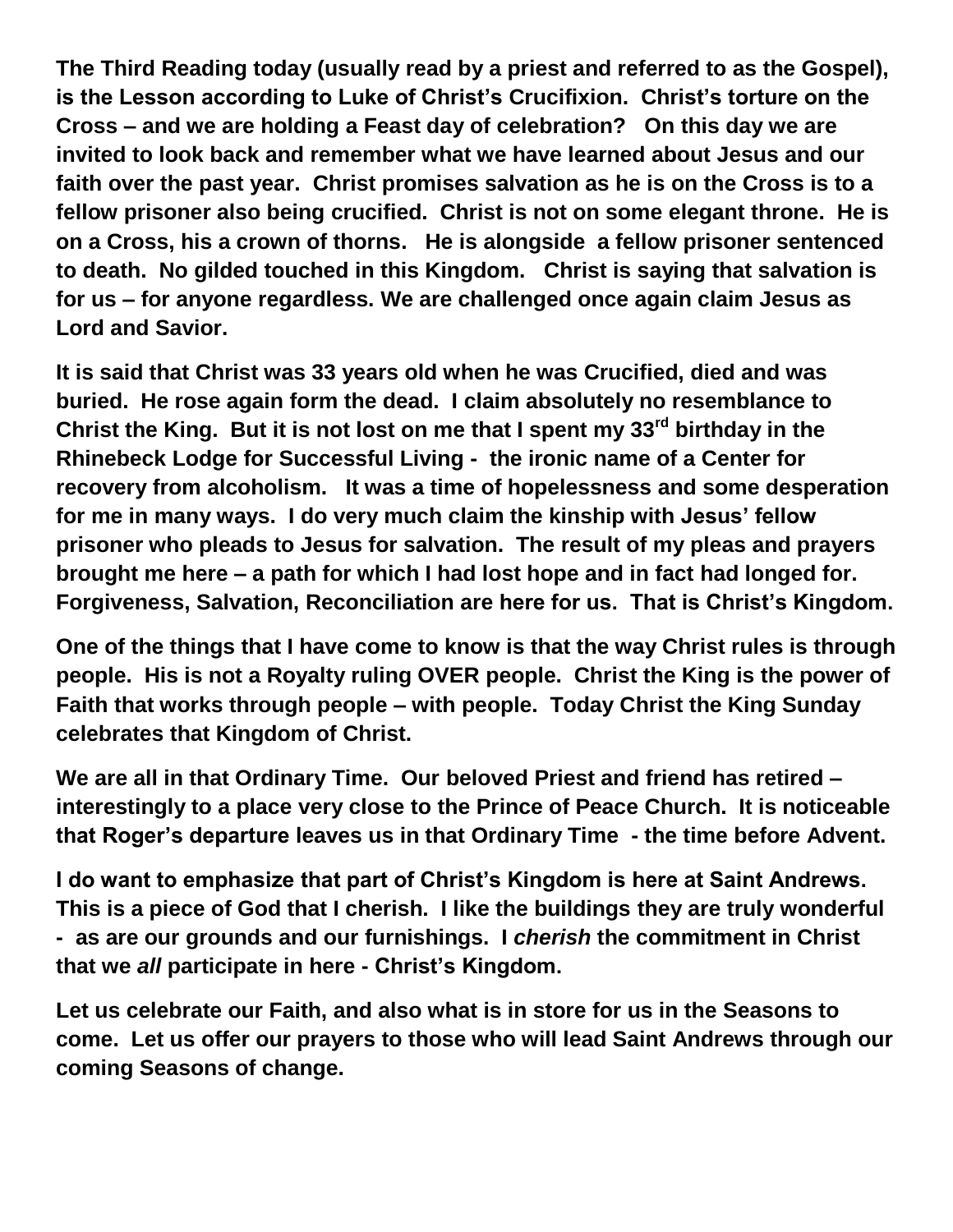**The Third Reading today (usually read by a priest and referred to as the Gospel), is the Lesson according to Luke of Christ's Crucifixion. Christ's torture on the Cross – and we are holding a Feast day of celebration? On this day we are invited to look back and remember what we have learned about Jesus and our faith over the past year. Christ promises salvation as he is on the Cross is to a fellow prisoner also being crucified. Christ is not on some elegant throne. He is on a Cross, his a crown of thorns. He is alongside a fellow prisoner sentenced to death. No gilded touched in this Kingdom. Christ is saying that salvation is for us – for anyone regardless. We are challenged once again claim Jesus as Lord and Savior.**

**It is said that Christ was 33 years old when he was Crucified, died and was buried. He rose again form the dead. I claim absolutely no resemblance to Christ the King. But it is not lost on me that I spent my 33rd birthday in the Rhinebeck Lodge for Successful Living - the ironic name of a Center for recovery from alcoholism. It was a time of hopelessness and some desperation for me in many ways. I do very much claim the kinship with Jesus' fellow prisoner who pleads to Jesus for salvation. The result of my pleas and prayers brought me here – a path for which I had lost hope and in fact had longed for. Forgiveness, Salvation, Reconciliation are here for us. That is Christ's Kingdom.**

**One of the things that I have come to know is that the way Christ rules is through people. His is not a Royalty ruling OVER people. Christ the King is the power of Faith that works through people – with people. Today Christ the King Sunday celebrates that Kingdom of Christ.** 

**We are all in that Ordinary Time. Our beloved Priest and friend has retired – interestingly to a place very close to the Prince of Peace Church. It is noticeable that Roger's departure leaves us in that Ordinary Time - the time before Advent.** 

**I do want to emphasize that part of Christ's Kingdom is here at Saint Andrews. This is a piece of God that I cherish. I like the buildings they are truly wonderful - as are our grounds and our furnishings. I** *cherish* **the commitment in Christ that we** *all* **participate in here - Christ's Kingdom.** 

**Let us celebrate our Faith, and also what is in store for us in the Seasons to come. Let us offer our prayers to those who will lead Saint Andrews through our coming Seasons of change.**